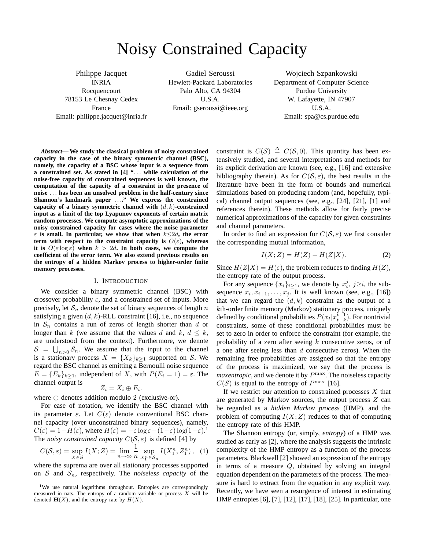# Noisy Constrained Capacity

Philippe Jacquet INRIA Rocquencourt 78153 Le Chesnay Cedex France Email: philippe.jacquet@inria.fr

Gadiel Seroussi Hewlett-Packard Laboratories Palo Alto, CA 94304 U.S.A. Email: gseroussi@ieee.org

Wojciech Szpankowski Department of Computer Science Purdue University W. Lafayette, IN 47907 U.S.A. Email: spa@cs.purdue.edu

*Abstract***— We study the classical problem of noisy constrained capacity in the case of the binary symmetric channel (BSC), namely, the capacity of a BSC whose input is a sequence from a constrained set. As stated in [4] "**. . . **while calculation of the noise-free capacity of constrained sequences is well known, the computation of the capacity of a constraint in the presence of noise** . . . **has been an unsolved problem in the half-century since** Shannon's landmark paper ....." We express the constrained **capacity of a binary symmetric channel with** (d, k)**-constrained input as a limit of the top Lyapunov exponents of certain matrix random processes. We compute asymptotic approximations of the noisy constrained capacity for cases where the noise parameter**  $\varepsilon$  is small. In particular, we show that when  $k \leq 2d$ , the error **term with respect to the constraint capacity is**  $O(\varepsilon)$ **, whereas it is**  $O(\varepsilon \log \varepsilon)$  when  $k > 2d$ . In both cases, we compute the **coefficient of the error term. We also extend previous results on the entropy of a hidden Markov process to higher-order finite memory processes.**

#### I. INTRODUCTION

We consider a binary symmetric channel (BSC) with crossover probability  $\varepsilon$ , and a constrained set of inputs. More precisely, let  $S_n$  denote the set of binary sequences of length n satisfying a given  $(d, k)$ -RLL constraint [16], i.e., no sequence in  $S_n$  contains a run of zeros of length shorter than d or longer than k (we assume that the values d and k,  $d \leq k$ , are understood from the context). Furthermore, we denote  $S = \bigcup_{n>0} S_n$ . We assume that the input to the channel is a stationary process  $X = \{X_k\}_{k>1}$  supported on S. We regard the BSC channel as emitting a Bernoulli noise sequence  $E = \{E_k\}_{k>1}$ , independent of X, with  $P(E_i = 1) = \varepsilon$ . The channel output is

$$
Z_i=X_i\oplus E_i.
$$

where  $\oplus$  denotes addition modulo 2 (exclusive-or).

For ease of notation, we identify the BSC channel with its parameter  $\varepsilon$ . Let  $C(\varepsilon)$  denote conventional BSC channel capacity (over unconstrained binary sequences), namely,  $C(\varepsilon) = 1 - H(\varepsilon)$ , where  $H(\varepsilon) = -\varepsilon \log \varepsilon - (1-\varepsilon) \log(1-\varepsilon)$ . The *noisy constrained capacity*  $C(S, \varepsilon)$  is defined [4] by

$$
C(S, \varepsilon) = \sup_{X \in \mathcal{S}} I(X; Z) = \lim_{n \to \infty} \frac{1}{n} \sup_{X_1^n \in \mathcal{S}_n} I(X_1^n, Z_1^n), \tag{1}
$$

where the suprema are over all stationary processes supported on  $S$  and  $S_n$ , respectively. The *noiseless capacity* of the

constraint is  $C(S) \triangleq C(S, 0)$ . This quantity has been extensively studied, and several interpretations and methods for its explicit derivation are known (see, e.g., [16] and extensive bibliography therein). As for  $C(S, \varepsilon)$ , the best results in the literature have been in the form of bounds and numerical simulations based on producing random (and, hopefully, typical) channel output sequences (see, e.g., [24], [21], [1] and references therein). These methods allow for fairly precise numerical approximations of the capacity for given constraints and channel parameters.

In order to find an expression for  $C(S, \varepsilon)$  we first consider the corresponding mutual information,

$$
I(X;Z) = H(Z) - H(Z|X). \tag{2}
$$

Since  $H(Z|X) = H(\varepsilon)$ , the problem reduces to finding  $H(Z)$ , the entropy rate of the output process.

For any sequence  $\{x_i\}_{i\geq 1}$ , we denote by  $x_i^j$ ,  $j\geq i$ , the subsequence  $x_i, x_{i+1}, \ldots, x_j$ . It is well known (see, e.g., [16]) that we can regard the  $(d, k)$  constraint as the output of a kth-order finite memory (Markov) stationary process, uniquely defined by conditional probabilities  $P(x_t|x_{t-k}^{t-1})$ . For nontrivial constraints, some of these conditional probabilities must be set to zero in order to enforce the constraint (for example, the probability of a zero after seeing  $k$  consecutive zeros, or of a one after seeing less than  $d$  consecutive zeros). When the remaining free probabilities are assigned so that the entropy of the process is maximized, we say that the process is *maxentropic*, and we denote it by  $P^{\text{max}}$ . The noiseless capacity  $C(S)$  is equal to the entropy of  $P^{\max}$  [16].

If we restrict our attention to constrained processes  $X$  that are generated by Markov sources, the output process Z can be regarded as a *hidden Markov process* (HMP), and the problem of computing  $I(X;Z)$  reduces to that of computing the entropy rate of this HMP.

The Shannon entropy (or, simply, *entropy*) of a HMP was studied as early as [2], where the analysis suggests the intrinsic complexity of the HMP entropy as a function of the process parameters. Blackwell [2] showed an expression of the entropy in terms of a measure Q, obtained by solving an integral equation dependent on the parameters of the process. The measure is hard to extract from the equation in any explicit way. Recently, we have seen a resurgence of interest in estimating HMP entropies [6], [7], [12], [17], [18], [25]. In particular, one

<sup>&</sup>lt;sup>1</sup>We use natural logarithms throughout. Entropies are correspondingly measured in nats. The entropy of a random variable or process  $X$  will be denoted  $H(X)$ , and the entropy rate by  $H(X)$ .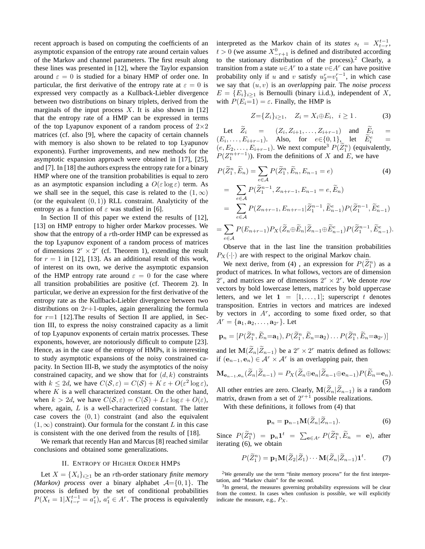recent approach is based on computing the coefficients of an asymptotic expansion of the entropy rate around certain values of the Markov and channel parameters. The first result along these lines was presented in [12], where the Taylor expansion around  $\varepsilon = 0$  is studied for a binary HMP of order one. In particular, the first derivative of the entropy rate at  $\varepsilon = 0$  is expressed very compactly as a Kullback-Liebler divergence between two distributions on binary triplets, derived from the marginals of the input process  $X$ . It is also shown in [12] that the entropy rate of a HMP can be expressed in terms of the top Lyapunov exponent of a random process of  $2\times 2$ matrices (cf. also [9], where the capacity of certain channels with memory is also shown to be related to top Lyapunov exponents). Further improvements, and new methods for the asymptotic expansion approach were obtained in [17], [25], and [7]. In [18] the authors express the entropy rate for a binary HMP where one of the transition probabilities is equal to zero as an asymptotic expansion including a  $O(\varepsilon \log \varepsilon)$  term. As we shall see in the sequel, this case is related to the  $(1, \infty)$ (or the equivalent  $(0, 1)$ ) RLL constraint. Analyticity of the entropy as a function of  $\varepsilon$  was studied in [6].

In Section II of this paper we extend the results of [12], [13] on HMP entropy to higher order Markov processes. We show that the entropy of a rth-order HMP can be expressed as the top Lyapunov exponent of a random process of matrices of dimensions  $2^r \times 2^r$  (cf. Theorem 1), extending the result for  $r = 1$  in [12], [13]. As an additional result of this work, of interest on its own, we derive the asymptotic expansion of the HMP entropy rate around  $\varepsilon = 0$  for the case where all transition probabilities are positive (cf. Theorem 2). In particular, we derive an expression for the first derivative of the entropy rate as the Kullback-Liebler divergence between two distributions on  $2r+1$ -tuples, again generalizing the formula for  $r=1$  [12]. The results of Section II are applied, in Section III, to express the noisy constrained capacity as a limit of top Lyapunov exponents of certain matrix processes. These exponents, however, are notoriously difficult to compute [23]. Hence, as in the case of the entropy of HMPs, it is interesting to study asymptotic expansions of the noisy constrained capacity. In Section III-B, we study the asymptotics of the noisy constrained capacity, and we show that for  $(d, k)$  constraints with  $k \le 2d$ , we have  $C(S, \varepsilon) = C(S) + K \varepsilon + O(\varepsilon^2 \log \varepsilon)$ , where  $K$  is a well characterized constant. On the other hand, when  $k > 2d$ , we have  $C(S, \varepsilon) = C(S) + L \varepsilon \log \varepsilon + O(\varepsilon)$ , where, again,  $L$  is a well-characterized constant. The latter case covers the  $(0, 1)$  constraint (and also the equivalent  $(1, \infty)$  constraint). Our formula for the constant L in this case is consistent with the one derived from the results of [18].

We remark that recently Han and Marcus [8] reached similar conclusions and obtained some generalizations.

## II. ENTROPY OF HIGHER ORDER HMPS

Let  $X = \{X_i\}_{i>1}$  be an *r*th-order stationary *finite memory (Markov) process* over a binary alphabet  $A = \{0, 1\}$ . The process is defined by the set of conditional probabilities  $P(X_t = 1 | X_{t-r}^{t-1} = a_1^r), a_1^r \in A^r$ . The process is equivalently

interpreted as the Markov chain of its *states*  $s_t = X_{t-r}^{t-1}$ ,  $t > 0$  (we assume  $X_{-r+1}^0$  is defined and distributed according to the stationary distribution of the process).<sup>2</sup> Clearly, a transition from a state  $u \in A^r$  to a state  $v \in A^r$  can have positive probability only if u and v satisfy  $u_2^r = v_1^{r-1}$ , in which case we say that (u, v) is an *overlapping* pair. The *noise process*  $E = \{E_i\}_{i>1}$  is Bernoulli (binary i.i.d.), independent of X, with  $P(E_i=1) = \varepsilon$ . Finally, the HMP is

$$
Z = \{Z_i\}_{i \ge 1}, \quad Z_i = X_i \oplus E_i, \ i \ge 1. \tag{3}
$$

Let  $Z_i = (Z_i, Z_{i+1}, \ldots, Z_{i+r-1})$  and  $E_i =$  $(E_i, \ldots, E_{i+r-1})$ . Also, for  $e \in \{0, 1\}$ , let  $\widetilde{E}_i^e$  =  $(e, E_2, \ldots, E_{i+r-1})$ . We next compute<sup>3</sup>  $P(\tilde{Z}_1^n)$  (equivalently,  $P(Z_1^{n+r-1})$ ). From the definitions of X and E, we have

$$
P(\widetilde{Z}_1^n, \widetilde{E}_n) = \sum_{e \in \mathcal{A}} P(\widetilde{Z}_1^n, \widetilde{E}_n, E_{n-1} = e)
$$
(4)  
= 
$$
\sum_{e \in \mathcal{A}} P(\widetilde{Z}_1^{n-1}, Z_{n+r-1}, E_{n-1} = e, \widetilde{E}_n)
$$
  
= 
$$
\sum_{e \in \mathcal{A}} P(Z_{n+r-1}, E_{n+r-1} | \widetilde{Z}_1^{n-1}, \widetilde{E}_{n-1}^e) P(\widetilde{Z}_1^{n-1}, \widetilde{E}_{n-1}^e)
$$
  
= 
$$
\sum_{e \in \mathcal{A}} P(E_{n+r-1}) P_X(\widetilde{Z}_n \oplus \widetilde{E}_n | \widetilde{Z}_{n-1} \oplus \widetilde{E}_{n-1}^e) P(\widetilde{Z}_1^{n-1}, \widetilde{E}_{n-1}^e).
$$

Observe that in the last line the transition probabilities  $P_X(\cdot|\cdot)$  are with respect to the original Markov chain.

We next derive, from (4), an expression for  $P(\tilde{Z}_1^n)$  as a product of matrices. In what follows, vectors are of dimension  $2^r$ , and matrices are of dimensions  $2^r \times 2^r$ . We denote *row* vectors by bold lowercase letters, matrices by bold uppercase letters, and we let  $1 = [1, \ldots, 1]$ ; superscript t denotes transposition. Entries in vectors and matrices are indexed by vectors in  $A<sup>r</sup>$ , according to some fixed order, so that  $A^r = {\bf{a}_1, a_2, \ldots, a_{2r}}.$  Let

$$
\mathbf{p}_n = [P(\widetilde{Z}_1^n, \widetilde{E}_n = \mathbf{a}_1), P(\widetilde{Z}_1^n, \widetilde{E}_n = \mathbf{a}_2) \dots P(\widetilde{Z}_1^n, \widetilde{E}_n = \mathbf{a}_{2^r})]
$$

and let  $\mathbf{M}(Z_n | Z_{n-1})$  be a  $2^r \times 2^r$  matrix defined as follows: if  $(e_{n-1}, e_n) \in \mathcal{A}^r \times \mathcal{A}^r$  is an overlapping pair, then

$$
\mathbf{M}_{\mathbf{e}_{n-1},\mathbf{e}_n}(\widetilde{Z}_n|\widetilde{Z}_{n-1}) = P_X(\widetilde{Z}_n \oplus \mathbf{e}_n|\widetilde{Z}_{n-1} \oplus \mathbf{e}_{n-1}) P(\widetilde{E}_n = \mathbf{e}_n).
$$
\n(5)

All other entries are zero. Clearly,  $\mathbf{M}(Z_n|Z_{n-1})$  is a random matrix, drawn from a set of  $2^{r+1}$  possible realizations.

With these definitions, it follows from (4) that

$$
\mathbf{p}_n = \mathbf{p}_{n-1} \mathbf{M}(\widetilde{Z}_n | \widetilde{Z}_{n-1}).
$$
 (6)

Since  $P(\tilde{Z}_1^n) = \mathbf{p}_n \mathbf{1}^t = \sum_{\mathbf{e} \in A^r} P(\tilde{Z}_1^n, \tilde{E}_n = \mathbf{e}), \text{ after}$ iterating (6), we obtain

$$
P(\widetilde{Z}_1^n) = \mathbf{p}_1 \mathbf{M}(\widetilde{Z}_2 | \widetilde{Z}_1) \cdots \mathbf{M}(\widetilde{Z}_n | \widetilde{Z}_{n-1}) \mathbf{1}^t. \tag{7}
$$

<sup>2</sup>We generally use the term "finite memory process" for the first interpretation, and "Markov chain" for the second.

<sup>3</sup>In general, the measures governing probability expressions will be clear from the context. In cases when confusion is possible, we will explicitly indicate the measure, e.g.,  $P_X$ .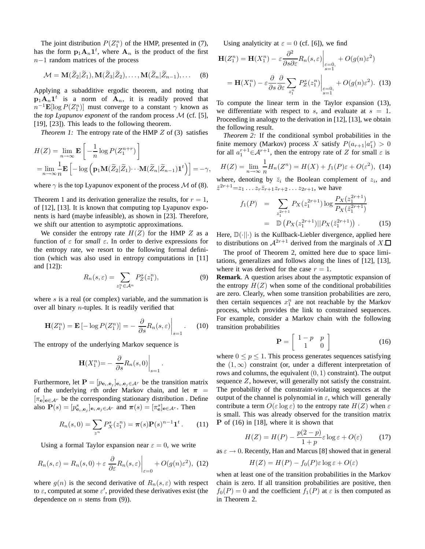The joint distribution  $P(Z_1^n)$  of the HMP, presented in (7), has the form  $p_1A_n1^t$ , where  $A_n$  is the product of the first n−1 random matrices of the process

$$
\mathcal{M} = \mathbf{M}(\widetilde{Z}_2|\widetilde{Z}_1), \mathbf{M}(\widetilde{Z}_3|\widetilde{Z}_2), \dots, \mathbf{M}(\widetilde{Z}_n|\widetilde{Z}_{n-1}), \dots
$$
 (8)

Applying a subadditive ergodic theorem, and noting that  $\mathbf{p}_1 \mathbf{A}_n \mathbf{1}^t$  is a norm of  $\mathbf{A}_n$ , it is readily proved that  $n^{-1} \mathbf{E}[\log P(Z_1^n)]$  must converge to a constant  $\gamma$  known as the *top Lyapunov exponent* of the random process M (cf. [5], [19], [23]). This leads to the following theorem.

*Theorem 1:* The entropy rate of the HMP Z of (3) satisfies

$$
H(Z) = \lim_{n \to \infty} \mathbf{E} \left[ -\frac{1}{n} \log P(Z_1^{n+r}) \right]
$$
  
= 
$$
\lim_{n \to \infty} \frac{1}{n} \mathbf{E} \left[ -\log \left( \mathbf{p}_1 \mathbf{M}(\widetilde{Z}_2 | \widetilde{Z}_1) \cdots \mathbf{M}(\widetilde{Z}_n | \widetilde{Z}_{n-1}) \mathbf{1}^t \right) \right] = -\gamma,
$$

where  $\gamma$  is the top Lyapunov exponent of the process M of (8).

Theorem 1 and its derivation generalize the results, for  $r = 1$ , of [12], [13]. It is known that computing top Lyapunov exponents is hard (maybe infeasible), as shown in [23]. Therefore, we shift our attention to asymptotic approximations.

We consider the entropy rate  $H(Z)$  for the HMP Z as a function of  $\varepsilon$  for *small*  $\varepsilon$ . In order to derive expressions for the entropy rate, we resort to the following formal definition (which was also used in entropy computations in [11] and [12]):

$$
R_n(s,\varepsilon) = \sum_{z_1^n \in \mathcal{A}^n} P_Z^s(z_1^n),\tag{9}
$$

.

where s is a real (or complex) variable, and the summation is over all binary n-tuples. It is readily verified that

$$
\mathbf{H}(Z_1^n) = \mathbf{E} \left[ -\log P(Z_1^n) \right] = -\left. \frac{\partial}{\partial s} R_n(s, \varepsilon) \right|_{s=1}.
$$
 (10)

The entropy of the underlying Markov sequence is

$$
\mathbf{H}(X_1^n) = -\left. \frac{\partial}{\partial s} R_n(s, 0) \right|_{s=1}
$$

Furthermore, let  $\mathbf{P} = [p_{e_i, e_j}]_{e_i, e_j \in A^r}$  be the transition matrix of the underlying rth order Markov chain, and let  $\pi$  =  $[\pi_{e}]_{e \in A^{r}}$  be the corresponding stationary distribution . Define also  $\mathbf{P}(s) = [p_{\mathbf{e}_i,\mathbf{e}_j}^s]_{\mathbf{e}_i,\mathbf{e}_j \in \mathcal{A}^r}$  and  $\boldsymbol{\pi}(s) = [\pi_{\mathbf{e}}^s]_{\mathbf{e} \in \mathcal{A}^r}$ . Then

$$
R_n(s,0) = \sum_{z^n} P_X^s(z_1^n) = \pi(s) \mathbf{P}(s)^{n-1} \mathbf{1}^t. \tag{11}
$$

Using a formal Taylor expansion near  $\varepsilon = 0$ , we write

$$
R_n(s,\varepsilon) = R_n(s,0) + \varepsilon \left. \frac{\partial}{\partial \varepsilon} R_n(s,\varepsilon) \right|_{\varepsilon=0} + O(g(n)\varepsilon^2), \tag{12}
$$

where  $g(n)$  is the second derivative of  $R_n(s, \varepsilon)$  with respect to  $\varepsilon$ , computed at some  $\varepsilon'$ , provided these derivatives exist (the dependence on  $n$  stems from  $(9)$ ).

Using analyticity at  $\varepsilon = 0$  (cf. [6]), we find

$$
\mathbf{H}(Z_1^n) = \mathbf{H}(X_1^n) - \varepsilon \frac{\partial^2}{\partial s \partial \varepsilon} R_n(s, \varepsilon) \Big|_{\substack{\varepsilon = 0, \\ s = 1}} + O(g(n)\varepsilon^2)
$$

$$
= \mathbf{H}(X_1^n) - \varepsilon \frac{\partial}{\partial s} \frac{\partial}{\partial \varepsilon} \sum_{z_1^n} P_Z^s(z_1^n) \Big|_{\substack{\varepsilon = 0, \\ s = 1}} + O(g(n)\varepsilon^2). \tag{13}
$$

To compute the linear term in the Taylor expansion (13), we differentiate with respect to s, and evaluate at  $s = 1$ . Proceeding in analogy to the derivation in [12], [13], we obtain the following result.

*Theorem 2:* If the conditional symbol probabilities in the finite memory (Markov) process X satisfy  $P(a_{r+1}|a_1^r) > 0$ for all  $a_1^{r+1} \in \mathcal{A}^{r+1}$ , then the entropy rate of Z for small  $\varepsilon$  is

$$
H(Z) = \lim_{n \to \infty} \frac{1}{n} H_n(Z^n) = H(X) + f_1(P)\varepsilon + O(\varepsilon^2), \tag{14}
$$

where, denoting by  $\bar{z}_i$  the Boolean complement of  $z_i$ , and  $\tilde{z}^{2r+1} = z_1 \dots z_r \bar{z}_{r+1} z_{r+2} \dots z_{2r+1}$ , we have

$$
f_1(P) = \sum_{z_1^{2r+1}} P_X(z_1^{2r+1}) \log \frac{P_X(z_1^{2r+1})}{P_X(\check{z}_1^{2r+1})}
$$
  
=  $\mathbb{D}\left(P_X(z_1^{2r+1})||P_X(\check{z}_1^{2r+1})\right)$ . (15)

Here,  $\mathbb{D}(\cdot||\cdot)$  is the Kullback-Liebler divergence, applied here to distributions on  $A^{2r+1}$  derived from the marginals of  $X.\Box$ 

The proof of Theorem 2, omitted here due to space limitations, generalizes and follows along the lines of [12], [13], where it was derived for the case  $r = 1$ .

**Remark**. A question arises about the asymptotic expansion of the entropy  $H(Z)$  when some of the conditional probabilities are zero. Clearly, when some transition probabilities are zero, then certain sequences  $x_1^n$  are not reachable by the Markov process, which provides the link to constrained sequences. For example, consider a Markov chain with the following transition probabilities

$$
\mathbf{P} = \left[ \begin{array}{cc} 1-p & p \\ 1 & 0 \end{array} \right] \tag{16}
$$

where  $0 \leq p \leq 1$ . This process generates sequences satisfying the  $(1, \infty)$  constraint (or, under a different interpretation of rows and columns, the equivalent  $(0, 1)$  constraint). The output sequence Z, however, will generally not satisfy the constraint. The probability of the constraint-violating sequences at the output of the channel is polynomial in  $\varepsilon$ , which will generally contribute a term  $O(\varepsilon \log \varepsilon)$  to the entropy rate  $H(Z)$  when  $\varepsilon$ is small. This was already observed for the transition matrix **P** of  $(16)$  in [18], where it is shown that

$$
H(Z) = H(P) - \frac{p(2-p)}{1+p} \varepsilon \log \varepsilon + O(\varepsilon) \tag{17}
$$

as  $\varepsilon \to 0$ . Recently, Han and Marcus [8] showed that in general

$$
H(Z) = H(P) - f_0(P)\varepsilon \log \varepsilon + O(\varepsilon)
$$

when at least one of the transition probabilities in the Markov chain is zero. If all transition probabilities are positive, then  $f_0(P) = 0$  and the coefficient  $f_1(P)$  at  $\varepsilon$  is then computed as in Theorem 2.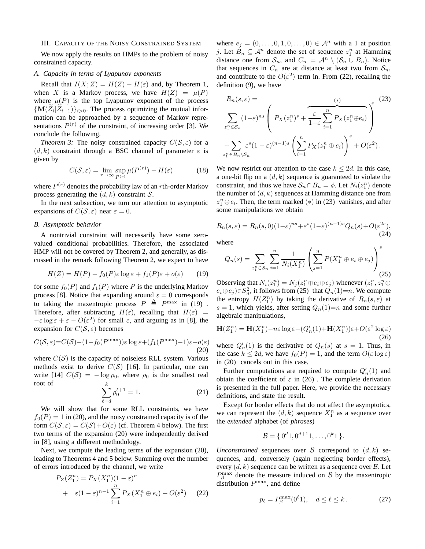## III. CAPACITY OF THE NOISY CONSTRAINED SYSTEM

We now apply the results on HMPs to the problem of noisy constrained capacity.

# *A. Capacity in terms of Lyapunov exponents*

Recall that  $I(X; Z) = H(Z) - H(\varepsilon)$  and, by Theorem 1, when X is a Markov process, we have  $H(Z) = \mu(P)$ where  $\mu(P)$  is the top Lyapunov exponent of the process  ${M(Z_i|Z_{i-1})}_i>0$ . The process optimizing the mutual information can be approached by a sequence of Markov representations  $P^{(r)}$  of the constraint, of increasing order [3]. We conclude the following.

*Theorem 3:* The noisy constrained capacity  $C(S, \varepsilon)$  for a  $(d, k)$  constraint through a BSC channel of parameter  $\varepsilon$  is given by

$$
C(S, \varepsilon) = \lim_{r \to \infty} \sup_{P(r)} \mu(P^{(r)}) - H(\varepsilon)
$$
 (18)

where  $P^{(r)}$  denotes the probability law of an *r*th-order Markov process generating the  $(d, k)$  constraint S.

In the next subsection, we turn our attention to asymptotic expansions of  $C(S, \varepsilon)$  near  $\varepsilon = 0$ .

# *B. Asymptotic behavior*

A nontrivial constraint will necessarily have some zerovalued conditional probabilities. Therefore, the associated HMP will not be covered by Theorem 2, and generally, as discussed in the remark following Theorem 2, we expect to have

$$
H(Z) = H(P) - f_0(P)\varepsilon \log \varepsilon + f_1(P)\varepsilon + o(\varepsilon) \tag{19}
$$

for some  $f_0(P)$  and  $f_1(P)$  where P is the underlying Markov process [8]. Notice that expanding around  $\varepsilon = 0$  corresponds to taking the maxentropic process  $P \triangleq P^{\max}$  in (19). Therefore, after subtracting  $H(\varepsilon)$ , recalling that  $H(\varepsilon)$  =  $-\varepsilon \log \varepsilon + \varepsilon - O(\varepsilon^2)$  for small  $\varepsilon$ , and arguing as in [8], the expansion for  $C(S, \varepsilon)$  becomes

$$
C(S, \varepsilon) = C(S) - (1 - f_0(P^{\max}))\varepsilon \log \varepsilon + (f_1(P^{\max}) - 1)\varepsilon + o(\varepsilon)
$$
\n(20)

where  $C(S)$  is the capacity of noiseless RLL system. Various methods exist to derive  $C(S)$  [16]. In particular, one can write [14]  $C(S) = -\log \rho_0$ , where  $\rho_0$  is the smallest real root of k

$$
\sum_{\ell=d}^{\infty} \rho_0^{\ell+1} = 1.
$$
 (21)

We will show that for some RLL constraints, we have  $f_0(P) = 1$  in (20), and the noisy constrained capacity is of the form  $C(S, \varepsilon) = C(S) + O(\varepsilon)$  (cf. Theorem 4 below). The first two terms of the expansion (20) were independently derived in [8], using a different methodology.

Next, we compute the leading terms of the expansion (20), leading to Theorems 4 and 5 below. Summing over the number of errors introduced by the channel, we write

$$
P_Z(Z_1^n) = P_X(X_1^n)(1 - \varepsilon)^n
$$
  
+  $\varepsilon (1 - \varepsilon)^{n-1} \sum_{i=1}^n P_X(X_1^n \oplus e_i) + O(\varepsilon^2)$  (22)

where  $e_j = (0, \ldots, 0, 1, 0, \ldots, 0) \in \mathcal{A}^n$  with a 1 at position j. Let  $B_n \subseteq \mathcal{A}^n$  denote the set of sequence  $z_1^n$  at Hamming distance one from  $S_n$ , and  $C_n = \mathcal{A}^n \setminus (S_n \cup B_n)$ . Notice that sequences in  $C_n$  are at distance at least two from  $S_n$ , and contribute to the  $O(\varepsilon^2)$  term in. From (22), recalling the definition (9), we have

$$
R_n(s,\varepsilon) = \sum_{z_1^n \in S_n} (1-\varepsilon)^{ns} \left( P_X(z_1^n)^s + \frac{\varepsilon}{1-\varepsilon} \sum_{i=1}^n P_X(z_1^n \oplus e_i) \right)^s
$$
  
+ 
$$
\sum_{z_1^n \in B_n \setminus S_n} \varepsilon^s (1-\varepsilon)^{(n-1)s} \left( \sum_{i=1}^n P_X(z_1^n \oplus e_i) \right)^s + O(\varepsilon^2).
$$
 (23)

We now restrict our attention to the case  $k \leq 2d$ . In this case, a one-bit flip on a  $(d, k)$  sequence is guaranteed to violate the constraint, and thus we have  $S_n \cap B_n = \phi$ . Let  $N_i(z_1^n)$  denote the number of  $(d, k)$  sequences at Hamming distance one from  $z_1^n \oplus e_i$ . Then, the term marked (\*) in (23) vanishes, and after some manipulations we obtain

$$
R_n(s,\varepsilon) = R_n(s,0)(1-\varepsilon)^{ns} + \varepsilon^s (1-\varepsilon)^{(n-1)s} Q_n(s) + O(\varepsilon^{2s}),
$$
\n(24)

where

$$
Q_n(s) = \sum_{z_1^n \in S_n} \sum_{i=1}^n \frac{1}{N_i(X_1^n)} \left( \sum_{j=1}^n P(X_1^n \oplus e_i \oplus e_j) \right)^s
$$
\n(25)

Observing that  $N_i(z_1^n) = N_j(z_1^n \oplus e_i \oplus e_j)$  whenever  $(z_1^n, z_1^n \oplus e_j^n)$  $e_i \oplus e_j$ )∈ $S_n^2$ , it follows from (25) that  $Q_n(1)=n$ . We compute the entropy  $H(Z_1^n)$  by taking the derivative of  $R_n(s, \varepsilon)$  at  $s = 1$ , which yields, after setting  $Q_n(1)=n$  and some further algebraic manipulations,

$$
\mathbf{H}(Z_1^n) = \mathbf{H}(X_1^n) - n\varepsilon \log \varepsilon - (Q_n'(1) + \mathbf{H}(X_1^n))\varepsilon + O(\varepsilon^2 \log \varepsilon)
$$
\n(26)

where  $Q'_n(1)$  is the derivative of  $Q_n(s)$  at  $s = 1$ . Thus, in the case  $k \le 2d$ , we have  $f_0(P) = 1$ , and the term  $O(\varepsilon \log \varepsilon)$ in (20) cancels out in this case.

Further computations are required to compute  $Q'_n(1)$  and obtain the coefficient of  $\varepsilon$  in (26). The complete derivation is presented in the full paper. Here, we provide the necessary definitions, and state the result.

Except for border effects that do not affect the asymptotics, we can represent the  $(d, k)$  sequence  $X_1^n$  as a sequence over the *extended* alphabet (of *phrases*)

$$
\mathcal{B} = \{0^d 1, 0^{d+1} 1, \ldots, 0^k 1\}.
$$

*Unconstrained* sequences over  $\beta$  correspond to  $(d, k)$  sequences, and, conversely (again neglecting border effects), every  $(d, k)$  sequence can be written as a sequence over  $\beta$ . Let  $P_{\beta}^{\max}$  denote the measure induced on B by the maxentropic distribution  $P^{\max}$ , and define

$$
p_{\ell} = P_{\beta}^{\max}(0^{\ell}1), \quad d \le \ell \le k. \tag{27}
$$